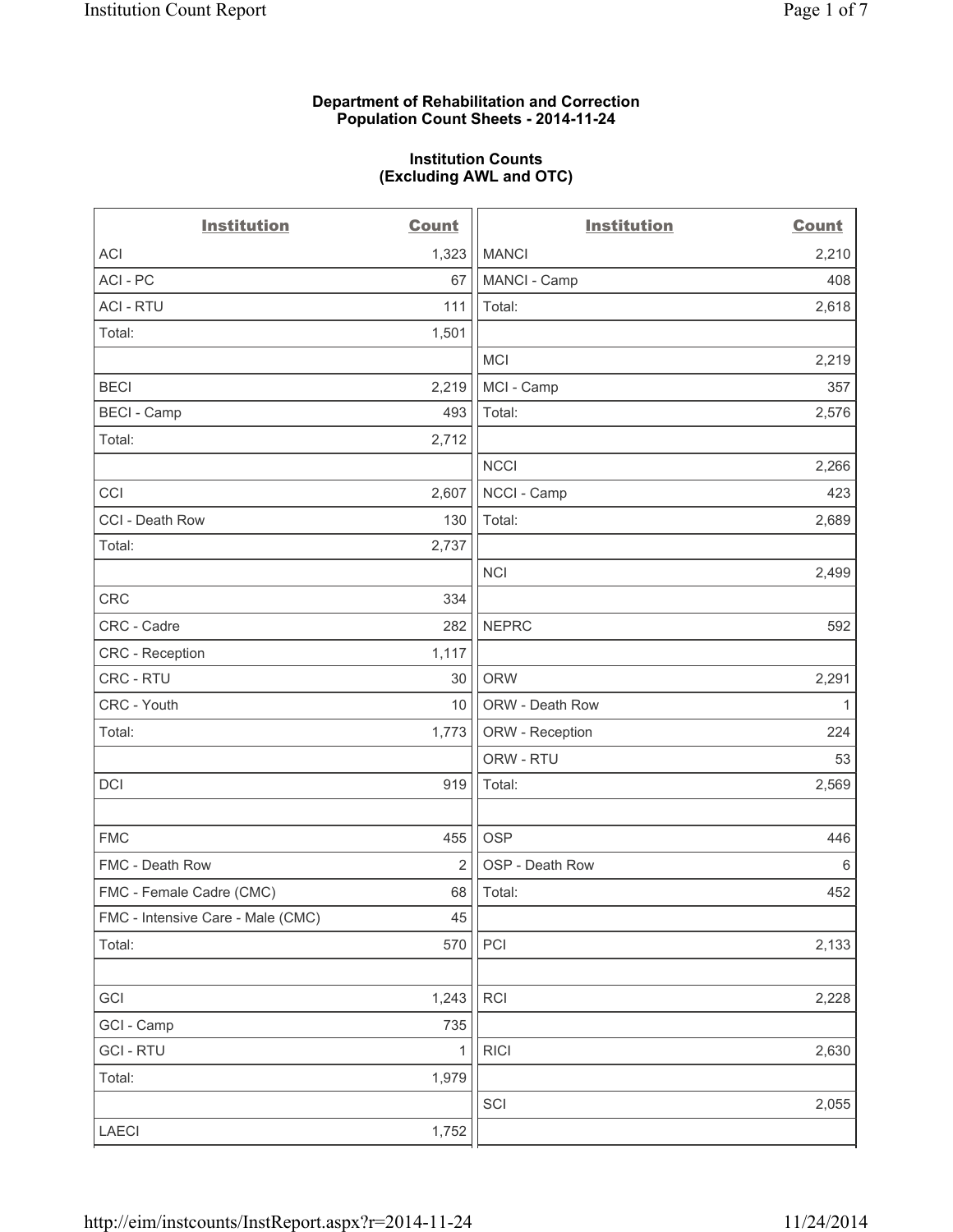#### **Department of Rehabilitation and Correction Population Count Sheets - 2014-11-24**

#### **Institution Counts (Excluding AWL and OTC)**

| <b>Institution</b>                | <b>Count</b>   | <b>Institution</b> | <b>Count</b> |
|-----------------------------------|----------------|--------------------|--------------|
| <b>ACI</b>                        | 1,323          | <b>MANCI</b>       | 2,210        |
| ACI - PC                          | 67             | MANCI - Camp       | 408          |
| <b>ACI - RTU</b>                  | 111            | Total:             | 2,618        |
| Total:                            | 1,501          |                    |              |
|                                   |                | MCI                | 2,219        |
| <b>BECI</b>                       | 2,219          | MCI - Camp         | 357          |
| <b>BECI - Camp</b>                | 493            | Total:             | 2,576        |
| Total:                            | 2,712          |                    |              |
|                                   |                | <b>NCCI</b>        | 2,266        |
| CCI                               | 2,607          | NCCI - Camp        | 423          |
| CCI - Death Row                   | 130            | Total:             | 2,689        |
| Total:                            | 2,737          |                    |              |
|                                   |                | <b>NCI</b>         | 2,499        |
| <b>CRC</b>                        | 334            |                    |              |
| CRC - Cadre                       | 282            | <b>NEPRC</b>       | 592          |
| <b>CRC</b> - Reception            | 1,117          |                    |              |
| CRC - RTU                         | 30             | <b>ORW</b>         | 2,291        |
| CRC - Youth                       | 10             | ORW - Death Row    | 1            |
| Total:                            | 1,773          | ORW - Reception    | 224          |
|                                   |                | ORW - RTU          | 53           |
| <b>DCI</b>                        | 919            | Total:             | 2,569        |
|                                   |                |                    |              |
| <b>FMC</b>                        | 455            | <b>OSP</b>         | 446          |
| FMC - Death Row                   | $\overline{2}$ | OSP - Death Row    | $\,6\,$      |
| FMC - Female Cadre (CMC)          | 68             | Total:             | 452          |
| FMC - Intensive Care - Male (CMC) | 45             |                    |              |
| Total:                            | 570            | PCI                | 2,133        |
|                                   |                |                    |              |
| GCI                               | 1,243          | RCI                | 2,228        |
| GCI - Camp                        | 735            |                    |              |
| <b>GCI - RTU</b>                  | $\mathbf{1}$   | <b>RICI</b>        | 2,630        |
| Total:                            | 1,979          |                    |              |
|                                   |                | SCI                | 2,055        |
| LAECI                             | 1,752          |                    |              |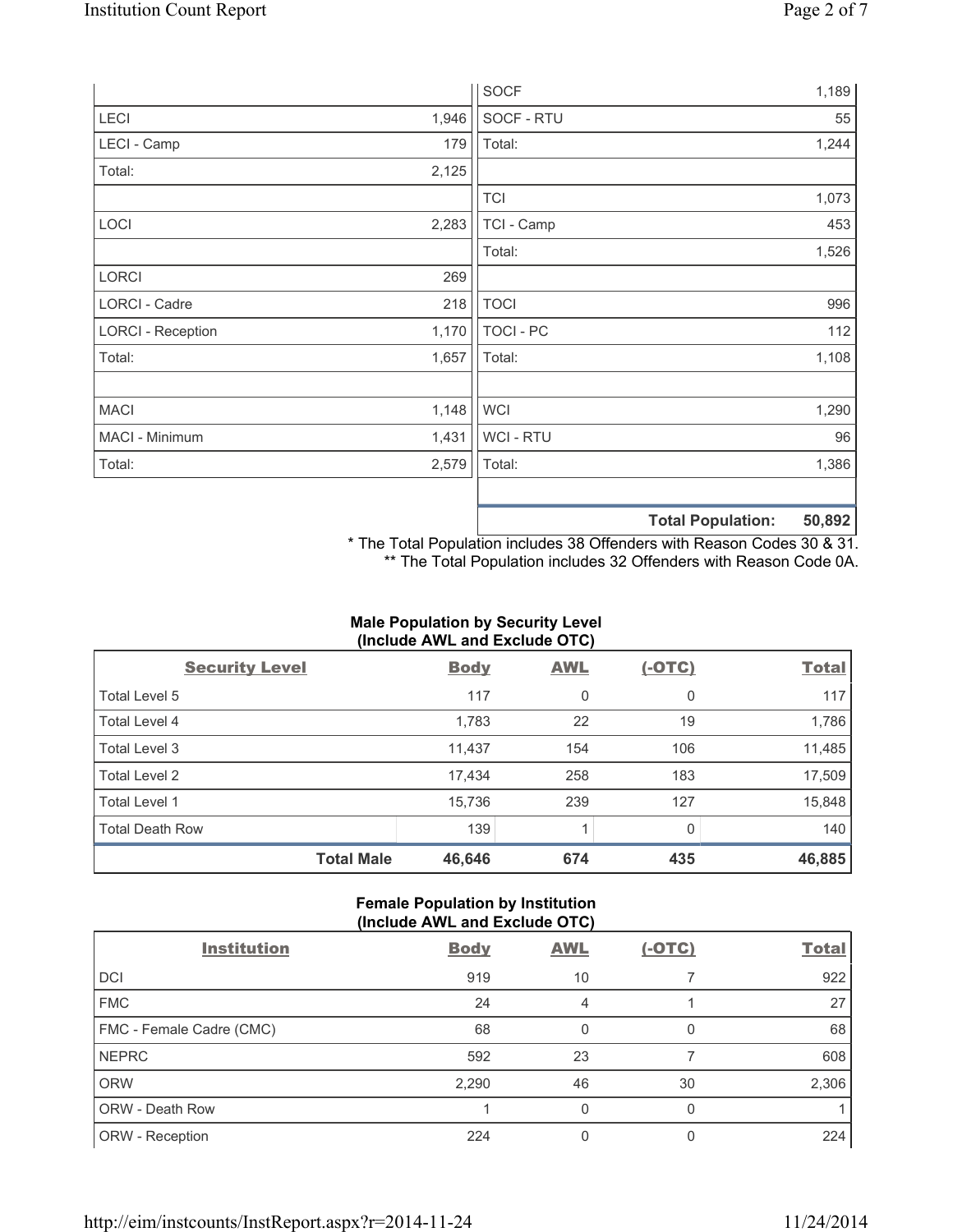|                          |       | <b>SOCF</b> |                          | 1,189  |
|--------------------------|-------|-------------|--------------------------|--------|
| LECI                     | 1,946 | SOCF - RTU  |                          | 55     |
| LECI - Camp              | 179   | Total:      |                          | 1,244  |
| Total:                   | 2,125 |             |                          |        |
|                          |       | <b>TCI</b>  |                          | 1,073  |
| LOCI                     | 2,283 | TCI - Camp  |                          | 453    |
|                          |       | Total:      |                          | 1,526  |
| <b>LORCI</b>             | 269   |             |                          |        |
| LORCI - Cadre            | 218   | <b>TOCI</b> |                          | 996    |
| <b>LORCI - Reception</b> | 1,170 | TOCI - PC   |                          | 112    |
| Total:                   | 1,657 | Total:      |                          | 1,108  |
|                          |       |             |                          |        |
| <b>MACI</b>              | 1,148 | <b>WCI</b>  |                          | 1,290  |
| MACI - Minimum           | 1,431 | WCI - RTU   |                          | 96     |
| Total:                   | 2,579 | Total:      |                          | 1,386  |
|                          |       |             |                          |        |
|                          |       |             | <b>Total Population:</b> | 50,892 |

\* The Total Population includes 38 Offenders with Reason Codes 30 & 31. \*\* The Total Population includes 32 Offenders with Reason Code 0A.

# **Male Population by Security Level (Include AWL and Exclude OTC)**

| <b>Security Level</b>  | <b>Body</b> | <b>AWL</b> | <u>(-OTC)</u> | <b>Total</b> |
|------------------------|-------------|------------|---------------|--------------|
| Total Level 5          | 117         | 0          | 0             | 117          |
| Total Level 4          | 1,783       | 22         | 19            | 1,786        |
| Total Level 3          | 11,437      | 154        | 106           | 11,485       |
| Total Level 2          | 17,434      | 258        | 183           | 17,509       |
| Total Level 1          | 15,736      | 239        | 127           | 15,848       |
| <b>Total Death Row</b> | 139         | 1          | 0             | 140          |
| <b>Total Male</b>      | 46,646      | 674        | 435           | 46,885       |

# **Female Population by Institution (Include AWL and Exclude OTC)**

| <b>Institution</b>       | <b>Body</b> | <b>AWL</b>   | <u>(-OTC)</u> | <b>Total</b> |
|--------------------------|-------------|--------------|---------------|--------------|
| <b>DCI</b>               | 919         | 10           |               | 922          |
| <b>FMC</b>               | 24          | 4            |               | 27           |
| FMC - Female Cadre (CMC) | 68          | $\mathbf{0}$ | 0             | 68           |
| <b>NEPRC</b>             | 592         | 23           |               | 608          |
| <b>ORW</b>               | 2,290       | 46           | 30            | 2,306        |
| <b>ORW - Death Row</b>   |             | 0            | 0             |              |
| ORW - Reception          | 224         | 0            |               | 224          |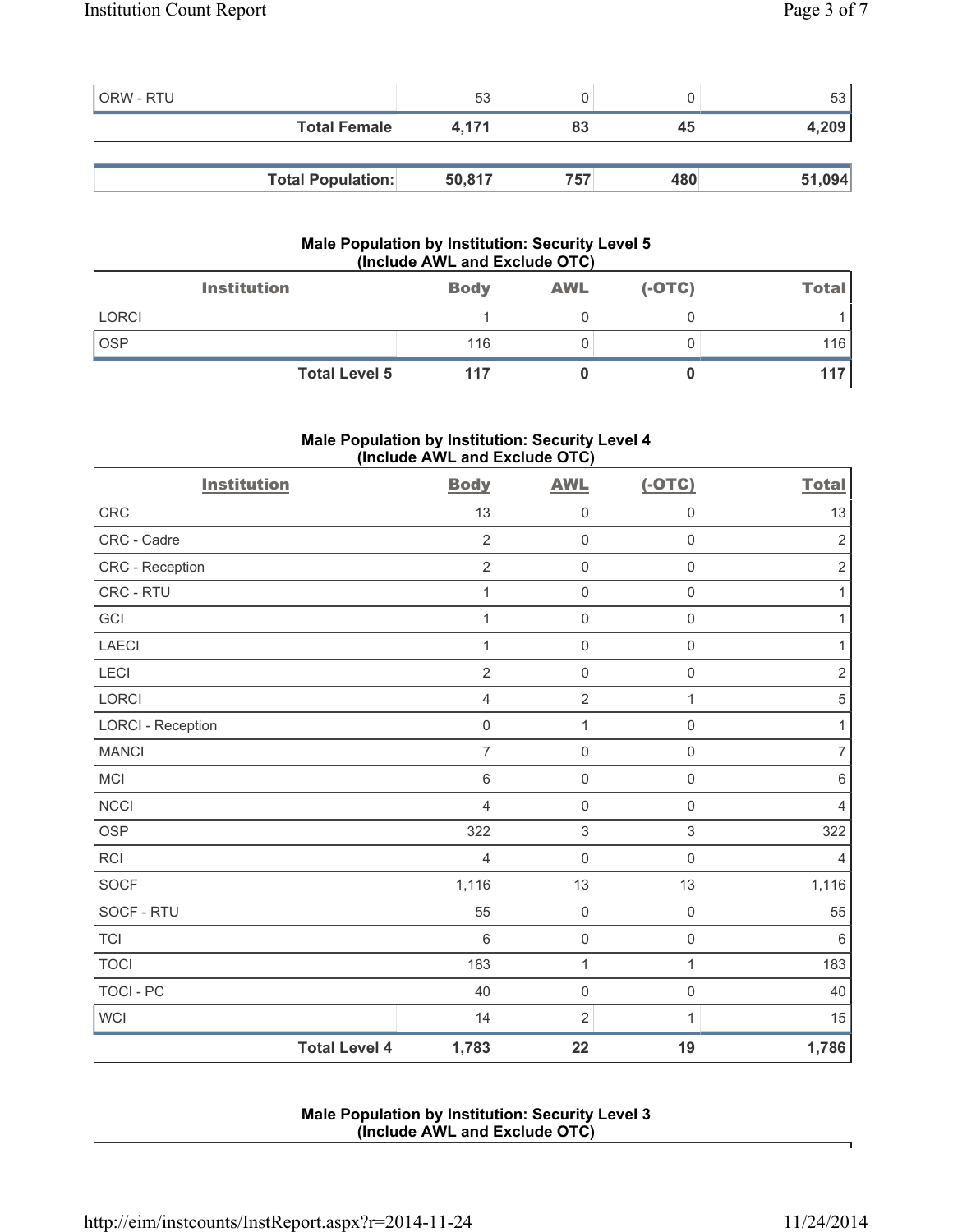| ORW - RTU |                          | 53     |     |     | 53     |
|-----------|--------------------------|--------|-----|-----|--------|
|           | <b>Total Female</b>      | 4.171  | 83  | 45  | 4,209  |
|           |                          |        |     |     |        |
|           | <b>Total Population:</b> | 50,817 | 757 | 480 | 51,094 |

### **Male Population by Institution: Security Level 5 (Include AWL and Exclude OTC)**

|            | <b>Institution</b>   | <b>Body</b> | <b>AWL</b> | $(-OTC)$ | Total |
|------------|----------------------|-------------|------------|----------|-------|
| LORCI      |                      |             |            |          |       |
| <b>OSP</b> |                      | 116         |            |          | 116   |
|            | <b>Total Level 5</b> | 117         |            |          | 117   |

# **Male Population by Institution: Security Level 4 (Include AWL and Exclude OTC)**

| <b>Institution</b>       |                      | <b>Body</b>    | <b>AWL</b>          | $(-OTC)$            | <b>Total</b>     |
|--------------------------|----------------------|----------------|---------------------|---------------------|------------------|
| <b>CRC</b>               |                      | 13             | $\mathsf{O}\xspace$ | $\mathsf{O}\xspace$ | 13               |
| CRC - Cadre              |                      | $\overline{2}$ | $\mathsf 0$         | $\mathsf 0$         | $\overline{2}$   |
| CRC - Reception          |                      | $\overline{2}$ | $\mathsf 0$         | $\mathsf{O}\xspace$ | $\sqrt{2}$       |
| CRC - RTU                |                      | 1              | $\mathsf 0$         | $\mathsf{O}\xspace$ | 1                |
| GCI                      |                      | $\mathbf{1}$   | $\mathbf 0$         | $\mathsf 0$         | $\mathbf{1}$     |
| <b>LAECI</b>             |                      | 1              | $\mathsf 0$         | $\mathsf{O}\xspace$ | $\mathbf{1}$     |
| LECI                     |                      | $\sqrt{2}$     | $\mathsf 0$         | $\mathsf{O}\xspace$ | $\sqrt{2}$       |
| LORCI                    |                      | $\overline{4}$ | $\overline{2}$      | 1                   | $\sqrt{5}$       |
| <b>LORCI - Reception</b> |                      | $\mathsf 0$    | $\mathbf{1}$        | $\mathsf 0$         | $\mathbf{1}$     |
| <b>MANCI</b>             |                      | $\overline{7}$ | $\mathsf 0$         | $\mathsf{O}\xspace$ | $\boldsymbol{7}$ |
| MCI                      |                      | $\,6\,$        | $\mathbf 0$         | $\mathsf{O}\xspace$ | $\,6\,$          |
| <b>NCCI</b>              |                      | $\overline{4}$ | $\mathsf 0$         | $\mathsf 0$         | $\overline{4}$   |
| <b>OSP</b>               |                      | 322            | $\,$ 3 $\,$         | $\mathsf 3$         | 322              |
| <b>RCI</b>               |                      | $\overline{4}$ | $\mathbf 0$         | $\mathsf 0$         | $\overline{4}$   |
| <b>SOCF</b>              |                      | 1,116          | 13                  | 13                  | 1,116            |
| SOCF - RTU               |                      | 55             | $\mathsf 0$         | $\mathsf{O}\xspace$ | 55               |
| <b>TCI</b>               |                      | $6\phantom{1}$ | $\mathsf 0$         | $\mathsf{O}\xspace$ | 6                |
| <b>TOCI</b>              |                      | 183            | $\mathbf{1}$        | $\mathbf{1}$        | 183              |
| <b>TOCI - PC</b>         |                      | 40             | $\mathbf 0$         | $\mathsf{O}\xspace$ | 40               |
| <b>WCI</b>               |                      | 14             | $\sqrt{2}$          | 1                   | 15               |
|                          | <b>Total Level 4</b> | 1,783          | 22                  | 19                  | 1,786            |

### **Male Population by Institution: Security Level 3 (Include AWL and Exclude OTC)**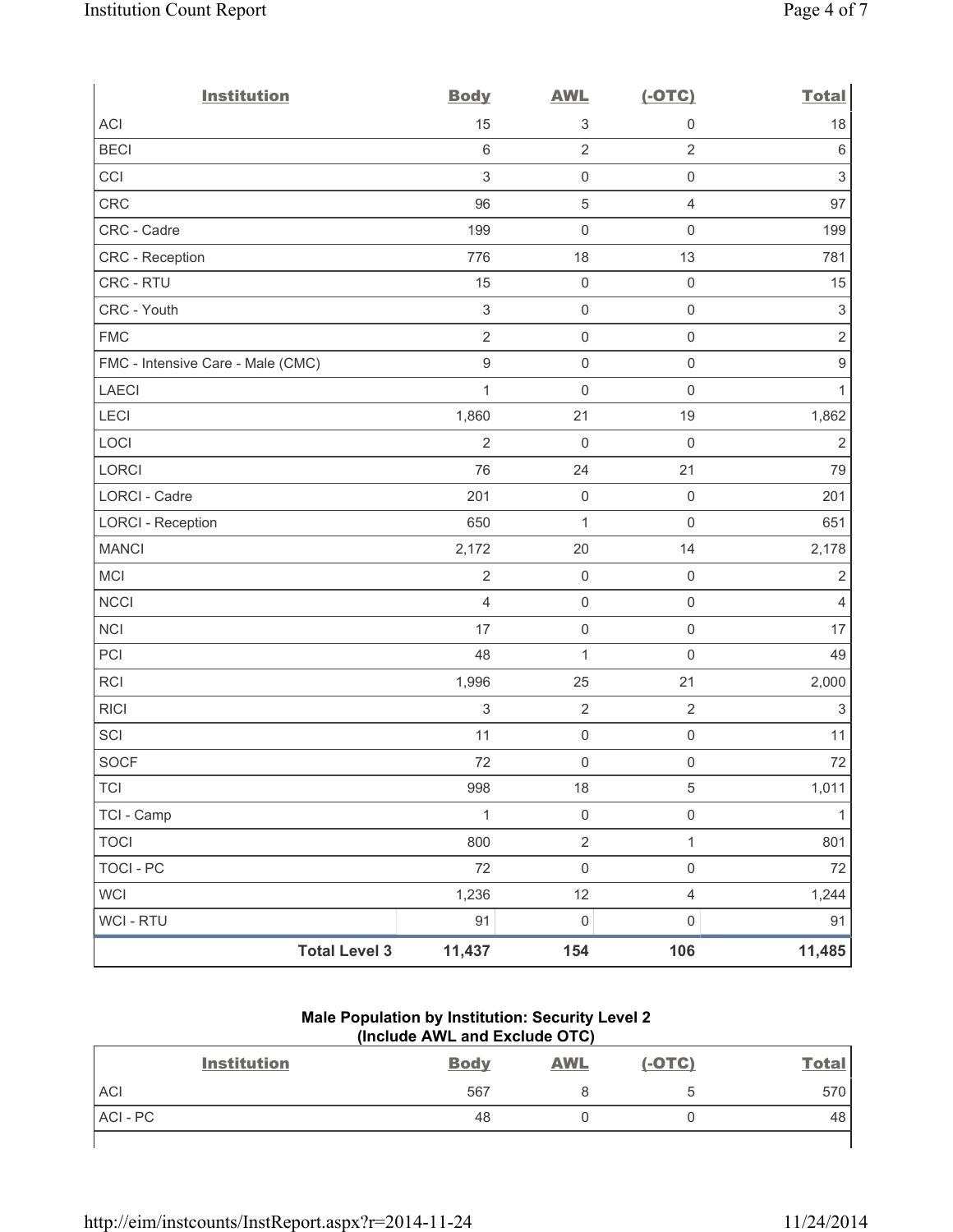| <b>Institution</b>                | <b>Body</b>               | <b>AWL</b>          | $(-OTC)$            | <b>Total</b>              |
|-----------------------------------|---------------------------|---------------------|---------------------|---------------------------|
| <b>ACI</b>                        | 15                        | 3                   | $\mathsf{0}$        | 18                        |
| <b>BECI</b>                       | $\,6\,$                   | $\overline{2}$      | $\overline{2}$      | 6                         |
| CCI                               | $\sqrt{3}$                | $\mathsf{O}\xspace$ | $\mathsf 0$         | $\ensuremath{\mathsf{3}}$ |
| <b>CRC</b>                        | 96                        | $\mathbf 5$         | $\overline{4}$      | 97                        |
| CRC - Cadre                       | 199                       | $\mathsf{O}\xspace$ | $\mathsf{O}\xspace$ | 199                       |
| CRC - Reception                   | 776                       | 18                  | 13                  | 781                       |
| CRC - RTU                         | 15                        | $\mathsf{O}\xspace$ | $\mathsf 0$         | 15                        |
| CRC - Youth                       | $\ensuremath{\mathsf{3}}$ | $\mathsf{O}\xspace$ | $\mathsf 0$         | $\ensuremath{\mathsf{3}}$ |
| <b>FMC</b>                        | $\overline{2}$            | $\mathsf{O}\xspace$ | $\mathsf{O}\xspace$ | $\overline{2}$            |
| FMC - Intensive Care - Male (CMC) | $\boldsymbol{9}$          | $\mathsf 0$         | $\mathsf{O}\xspace$ | $\hbox{9}$                |
| <b>LAECI</b>                      | 1                         | 0                   | $\mathsf{O}\xspace$ | $\mathbf{1}$              |
| LECI                              | 1,860                     | 21                  | 19                  | 1,862                     |
| LOCI                              | $\overline{2}$            | $\mathsf{O}\xspace$ | $\mathsf 0$         | $\mathbf 2$               |
| LORCI                             | 76                        | 24                  | 21                  | 79                        |
| LORCI - Cadre                     | 201                       | $\mathsf{O}\xspace$ | $\mathsf{O}\xspace$ | 201                       |
| <b>LORCI - Reception</b>          | 650                       | $\mathbf{1}$        | $\mathbf 0$         | 651                       |
| <b>MANCI</b>                      | 2,172                     | 20                  | 14                  | 2,178                     |
| MCI                               | $\sqrt{2}$                | $\mathsf{O}\xspace$ | $\mathsf 0$         | $\sqrt{2}$                |
| <b>NCCI</b>                       | $\overline{4}$            | $\mathsf{O}\xspace$ | $\mathsf{O}\xspace$ | 4                         |
| <b>NCI</b>                        | 17                        | $\mathsf{O}\xspace$ | $\mathsf 0$         | 17                        |
| PCI                               | 48                        | $\mathbf 1$         | $\mathsf{O}\xspace$ | 49                        |
| RCI                               | 1,996                     | 25                  | 21                  | 2,000                     |
| <b>RICI</b>                       | $\sqrt{3}$                | $\overline{2}$      | $\overline{2}$      | $\ensuremath{\mathsf{3}}$ |
| SCI                               | 11                        | $\mathsf{O}\xspace$ | $\mathsf 0$         | 11                        |
| <b>SOCF</b>                       | 72                        | $\mathsf{O}\xspace$ | $\mathsf{O}\xspace$ | 72                        |
| <b>TCI</b>                        | 998                       | 18                  | 5                   | 1,011                     |
| TCI - Camp                        | 1                         | $\mathsf{O}\xspace$ | $\mathsf{O}\xspace$ | 1                         |
| <b>TOCI</b>                       | 800                       | $\overline{2}$      | $\mathbf{1}$        | 801                       |
| <b>TOCI - PC</b>                  | 72                        | $\boldsymbol{0}$    | $\mathsf 0$         | 72                        |
| <b>WCI</b>                        | 1,236                     | 12                  | $\overline{4}$      | 1,244                     |
| WCI - RTU                         | 91                        | $\mathsf{O}\xspace$ | $\mathsf{O}\xspace$ | 91                        |
| <b>Total Level 3</b>              | 11,437                    | 154                 | 106                 | 11,485                    |

## **Male Population by Institution: Security Level 2 (Include AWL and Exclude OTC)**

| <b>Institution</b> | <b>Body</b> | <b>AWL</b> | $(-OTC)$ | <b>Total</b> |
|--------------------|-------------|------------|----------|--------------|
| <b>ACI</b>         | 567         |            | э        | 570          |
| ACI-PC             | 48          |            |          | 48           |
|                    |             |            |          |              |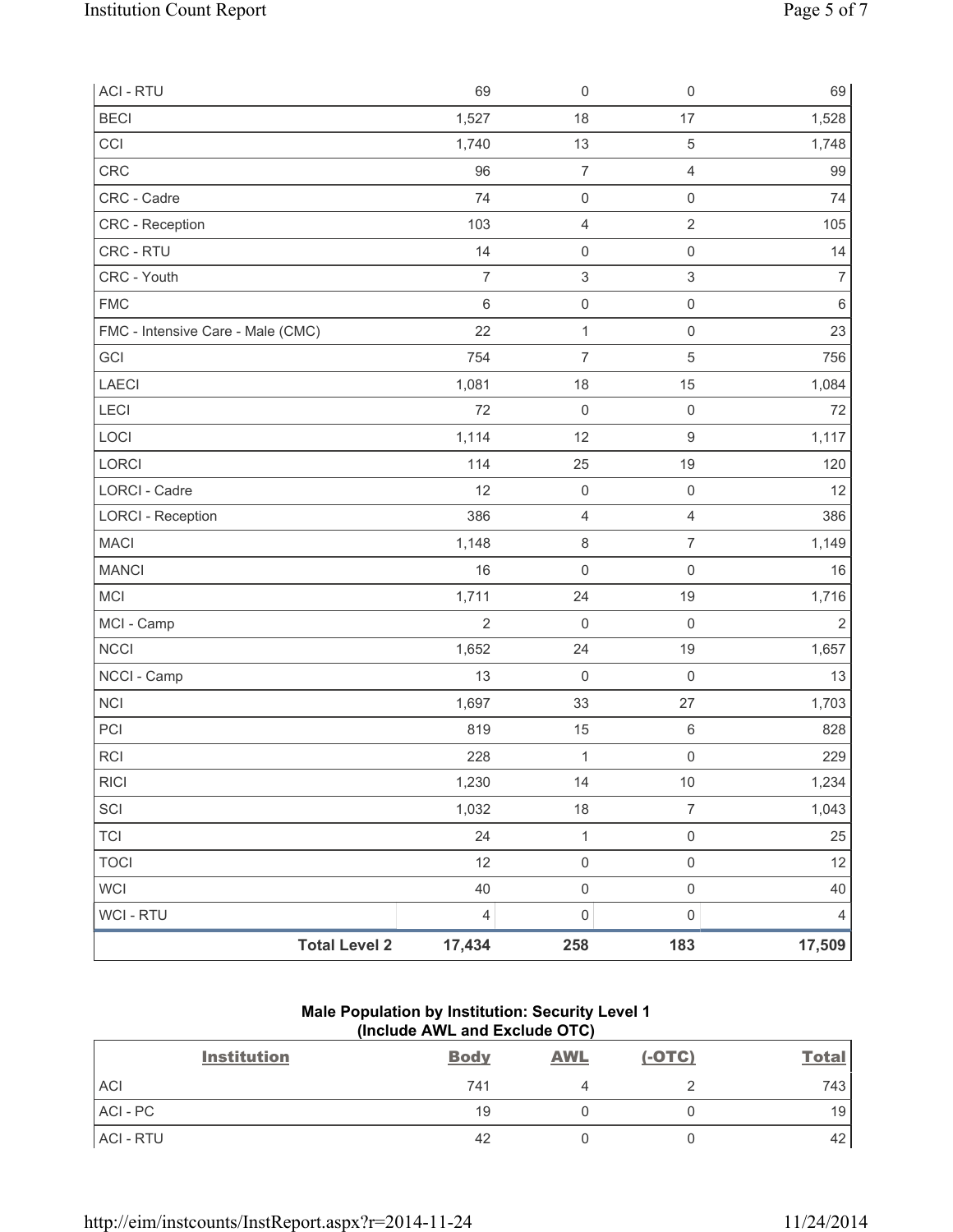| <b>ACI - RTU</b>                  | 69             | $\mathsf{O}\xspace$ | $\mathsf{O}\xspace$ | 69             |
|-----------------------------------|----------------|---------------------|---------------------|----------------|
| <b>BECI</b>                       | 1,527          | 18                  | 17                  | 1,528          |
| CCI                               | 1,740          | 13                  | $\sqrt{5}$          | 1,748          |
| <b>CRC</b>                        | 96             | $\overline{7}$      | $\overline{4}$      | 99             |
| CRC - Cadre                       | 74             | $\mathsf{O}\xspace$ | $\mathsf{O}\xspace$ | 74             |
| CRC - Reception                   | 103            | 4                   | $\sqrt{2}$          | 105            |
| CRC - RTU                         | 14             | $\mathsf{O}\xspace$ | $\mathsf{O}\xspace$ | 14             |
| CRC - Youth                       | $\overline{7}$ | 3                   | $\mathsf 3$         | $\overline{7}$ |
| <b>FMC</b>                        | 6              | $\mathsf{O}\xspace$ | $\mathsf{O}\xspace$ | $\,6\,$        |
| FMC - Intensive Care - Male (CMC) | 22             | $\mathbf 1$         | $\mathsf{O}\xspace$ | 23             |
| GCI                               | 754            | $\overline{7}$      | $\sqrt{5}$          | 756            |
| LAECI                             | 1,081          | 18                  | 15                  | 1,084          |
| LECI                              | 72             | $\mathbf 0$         | $\mathsf{O}\xspace$ | 72             |
| LOCI                              | 1,114          | 12                  | $\mathsf g$         | 1,117          |
| LORCI                             | 114            | 25                  | 19                  | 120            |
| <b>LORCI - Cadre</b>              | 12             | $\mathbf 0$         | $\mathsf{O}\xspace$ | 12             |
| <b>LORCI - Reception</b>          | 386            | $\overline{4}$      | $\overline{4}$      | 386            |
| <b>MACI</b>                       | 1,148          | 8                   | $\boldsymbol{7}$    | 1,149          |
| <b>MANCI</b>                      | 16             | $\mathbf 0$         | $\mathsf{O}\xspace$ | 16             |
| <b>MCI</b>                        | 1,711          | 24                  | 19                  | 1,716          |
| MCI - Camp                        | $\overline{2}$ | $\mathbf 0$         | $\mathsf{O}\xspace$ | $\overline{2}$ |
| <b>NCCI</b>                       | 1,652          | 24                  | 19                  | 1,657          |
| NCCI - Camp                       | 13             | $\mathbf 0$         | $\mathsf{O}\xspace$ | 13             |
| <b>NCI</b>                        | 1,697          | 33                  | 27                  | 1,703          |
| PCI                               | 819            | 15                  | $\,6\,$             | 828            |
| <b>RCI</b>                        | 228            | 1                   | $\mathsf{O}\xspace$ | 229            |
| <b>RICI</b>                       | 1,230          | 14                  | 10                  | 1,234          |
| SCI                               | 1,032          | 18                  | $\overline{7}$      | 1,043          |
| <b>TCI</b>                        | 24             | $\mathbf 1$         | $\mathsf 0$         | 25             |
| <b>TOCI</b>                       | 12             | $\mathsf{O}\xspace$ | $\mathsf{O}\xspace$ | 12             |
| WCI                               | 40             | $\mathsf{O}\xspace$ | $\mathsf{O}\xspace$ | 40             |
| WCI - RTU                         | 4              | $\pmb{0}$           | $\mathsf 0$         | 4              |
| <b>Total Level 2</b>              | 17,434         | 258                 | 183                 | 17,509         |

# **Male Population by Institution: Security Level 1 (Include AWL and Exclude OTC)**

| <b>Institution</b> | <b>Body</b> | <b>AWL</b> | $(-OTC)$ | <b>Total</b>    |
|--------------------|-------------|------------|----------|-----------------|
| <b>ACI</b>         | 741         |            |          | 743 I           |
| $ACI - PC$         | 19          |            |          | 19 <sub>1</sub> |
| ACI - RTU          | 42          |            |          | 42              |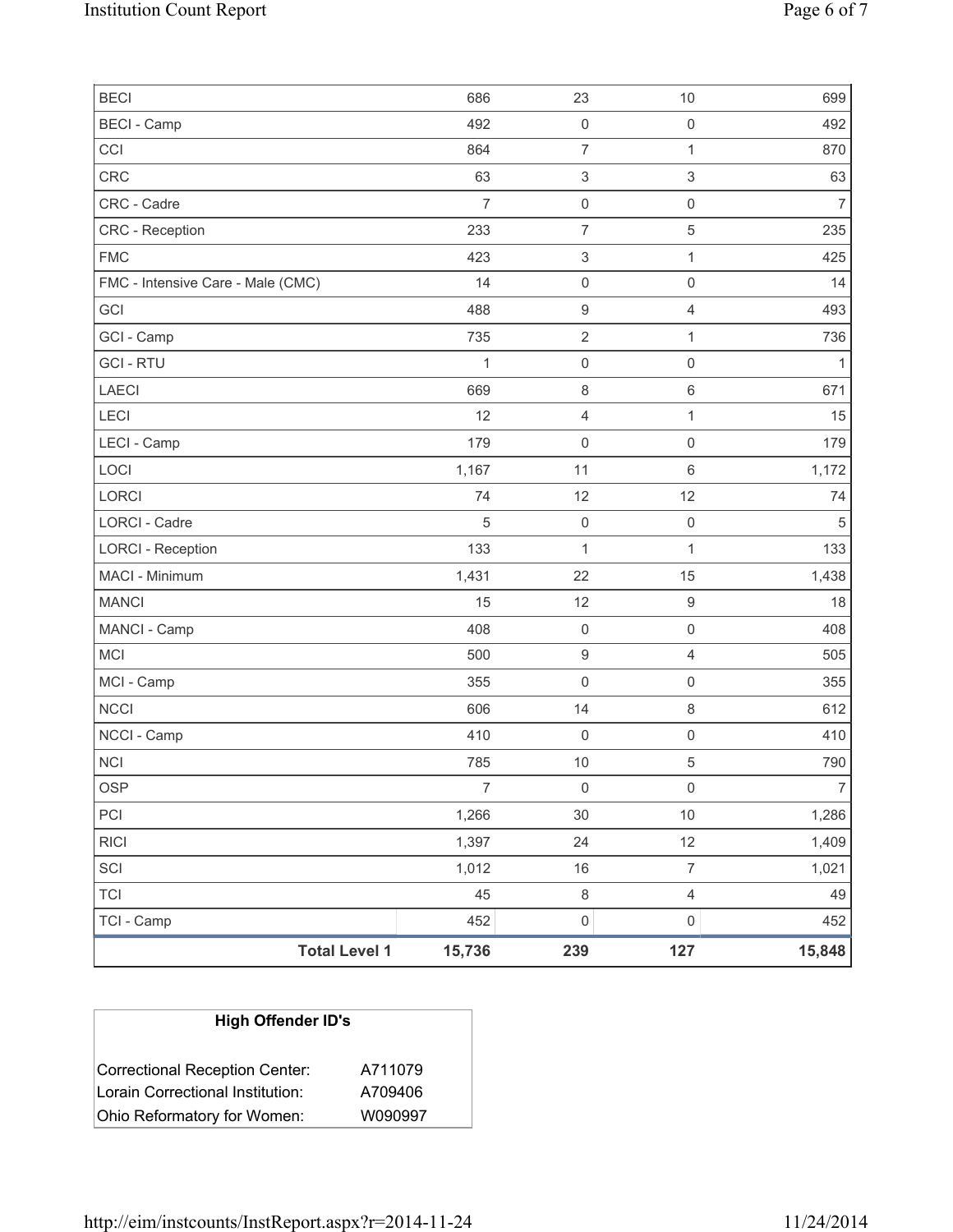| <b>BECI</b>                       |                      | 686            | 23                        | 10                       | 699            |
|-----------------------------------|----------------------|----------------|---------------------------|--------------------------|----------------|
| <b>BECI</b> - Camp                |                      | 492            | $\mathsf{O}\xspace$       | $\mathsf 0$              | 492            |
| CCI                               |                      | 864            | $\overline{7}$            | 1                        | 870            |
| CRC                               |                      | 63             | $\ensuremath{\mathsf{3}}$ | 3                        | 63             |
| CRC - Cadre                       |                      | $\overline{7}$ | $\mathsf{O}\xspace$       | $\mathsf{O}\xspace$      | $\overline{7}$ |
| CRC - Reception                   |                      | 233            | $\overline{7}$            | 5                        | 235            |
| <b>FMC</b>                        |                      | 423            | $\ensuremath{\mathsf{3}}$ | 1                        | 425            |
| FMC - Intensive Care - Male (CMC) |                      | 14             | $\mathsf{O}\xspace$       | 0                        | 14             |
| GCI                               |                      | 488            | $\boldsymbol{9}$          | $\overline{4}$           | 493            |
| GCI - Camp                        |                      | 735            | $\overline{2}$            | 1                        | 736            |
| <b>GCI-RTU</b>                    |                      | 1              | $\mathsf{O}\xspace$       | $\mathsf{O}\xspace$      | $\mathbf{1}$   |
| <b>LAECI</b>                      |                      | 669            | $\,8\,$                   | 6                        | 671            |
| LECI                              |                      | 12             | 4                         | 1                        | 15             |
| LECI - Camp                       |                      | 179            | $\mathbf 0$               | $\mathsf{O}\xspace$      | 179            |
| LOCI                              |                      | 1,167          | 11                        | 6                        | 1,172          |
| <b>LORCI</b>                      |                      | 74             | 12                        | 12                       | 74             |
| LORCI - Cadre                     |                      | $\sqrt{5}$     | $\mathsf{O}\xspace$       | $\mathsf 0$              | $\sqrt{5}$     |
| <b>LORCI - Reception</b>          |                      | 133            | $\mathbf{1}$              | 1                        | 133            |
| MACI - Minimum                    |                      | 1,431          | 22                        | 15                       | 1,438          |
| <b>MANCI</b>                      |                      | 15             | 12                        | $\hbox{9}$               | 18             |
| MANCI - Camp                      |                      | 408            | $\mathsf{O}\xspace$       | $\mathsf{O}\xspace$      | 408            |
| <b>MCI</b>                        |                      | 500            | $\boldsymbol{9}$          | $\overline{4}$           | 505            |
| MCI - Camp                        |                      | 355            | $\mathsf{O}\xspace$       | $\mathsf 0$              | 355            |
| <b>NCCI</b>                       |                      | 606            | 14                        | 8                        | 612            |
| NCCI - Camp                       |                      | 410            | $\mathbf 0$               | $\mathsf 0$              | 410            |
| <b>NCI</b>                        |                      | 785            | 10                        | 5                        | 790            |
| <b>OSP</b>                        |                      | $\overline{7}$ | 0                         | 0                        | $\overline{7}$ |
| PCI                               |                      | 1,266          | $30\,$                    | 10                       | 1,286          |
| <b>RICI</b>                       |                      | 1,397          | 24                        | 12                       | 1,409          |
| SCI                               |                      | 1,012          | 16                        | $\overline{7}$           | 1,021          |
| <b>TCI</b>                        |                      | 45             | $\,8\,$                   | $\overline{\mathcal{L}}$ | 49             |
| TCI - Camp                        |                      | 452            | $\mathsf{O}\xspace$       | $\mathsf{O}\xspace$      | 452            |
|                                   | <b>Total Level 1</b> | 15,736         | 239                       | 127                      | 15,848         |

| <b>High Offender ID's</b>        |         |
|----------------------------------|---------|
| Correctional Reception Center:   | A711079 |
| Lorain Correctional Institution: | A709406 |
| Ohio Reformatory for Women:      | W090997 |